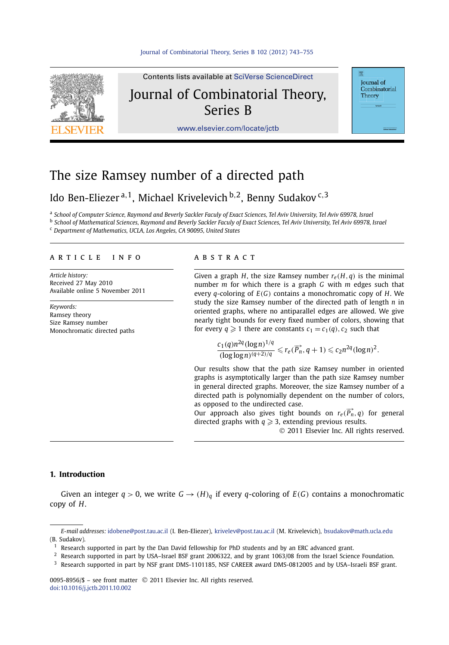

**Iournal** of Combinatorial Theory

# The size Ramsey number of a directed path

## Ido Ben-Eliezer <sup>a</sup>*,*1, Michael Krivelevich <sup>b</sup>*,*2, Benny Sudakov <sup>c</sup>*,*<sup>3</sup>

<sup>a</sup> *School of Computer Science, Raymond and Beverly Sackler Faculy of Exact Sciences, Tel Aviv University, Tel Aviv 69978, Israel* <sup>b</sup> *School of Mathematical Sciences, Raymond and Beverly Sackler Faculy of Exact Sciences, Tel Aviv University, Tel Aviv 69978, Israel*

<sup>c</sup> *Department of Mathematics, UCLA, Los Angeles, CA 90095, United States*

#### article info abstract

*Article history:* Received 27 May 2010 Available online 5 November 2011

*Keywords:* Ramsey theory Size Ramsey number Monochromatic directed paths

Given a graph *H*, the size Ramsey number  $r_e(H, q)$  is the minimal number *m* for which there is a graph *G* with *m* edges such that every *q*-coloring of *E(G)* contains a monochromatic copy of *H*. We study the size Ramsey number of the directed path of length *n* in oriented graphs, where no antiparallel edges are allowed. We give nearly tight bounds for every fixed number of colors, showing that for every  $q \ge 1$  there are constants  $c_1 = c_1(q)$ ,  $c_2$  such that

$$
\frac{c_1(q)n^{2q}(\log n)^{1/q}}{(\log\log n)^{(q+2)/q}} \leqslant r_e(\overrightarrow{P_n}, q+1) \leqslant c_2 n^{2q}(\log n)^2.
$$

Our results show that the path size Ramsey number in oriented graphs is asymptotically larger than the path size Ramsey number in general directed graphs. Moreover, the size Ramsey number of a directed path is polynomially dependent on the number of colors, as opposed to the undirected case.

Our approach also gives tight bounds on  $r_e(\overrightarrow{P_n}, q)$  for general directed graphs with  $q \geqslant 3$ , extending previous results.

© 2011 Elsevier Inc. All rights reserved.

#### **1. Introduction**

Given an integer  $q > 0$ , we write  $G \rightarrow (H)q$  if every q-coloring of  $E(G)$  contains a monochromatic copy of *H*.

*E-mail addresses:* [idobene@post.tau.ac.il](mailto:idobene@post.tau.ac.il) (I. Ben-Eliezer), [krivelev@post.tau.ac.il](mailto:krivelev@post.tau.ac.il) (M. Krivelevich), [bsudakov@math.ucla.edu](mailto:bsudakov@math.ucla.edu) (B. Sudakov).

 $<sup>1</sup>$  Research supported in part by the Dan David fellowship for PhD students and by an ERC advanced grant.</sup>

<sup>&</sup>lt;sup>2</sup> Research supported in part by USA-Israel BSF grant 2006322, and by grant 1063/08 from the Israel Science Foundation.

<sup>&</sup>lt;sup>3</sup> Research supported in part by NSF grant DMS-1101185, NSF CAREER award DMS-0812005 and by USA-Israeli BSF grant.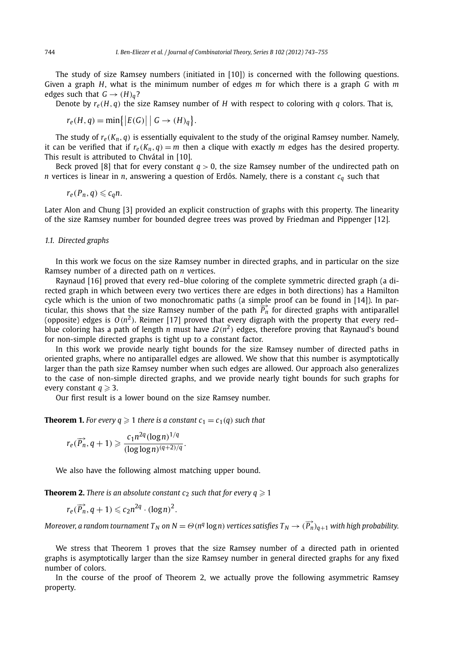The study of size Ramsey numbers (initiated in [10]) is concerned with the following questions. Given a graph *H*, what is the minimum number of edges *m* for which there is a graph *G* with *m* edges such that  $G \rightarrow (H)_q$ ?

Denote by  $r_e(H, g)$  the size Ramsey number of *H* with respect to coloring with *q* colors. That is,

$$
r_e(H, q) = \min\{|E(G)| \mid G \to (H)_q\}.
$$

The study of  $r_e(K_n, q)$  is essentially equivalent to the study of the original Ramsey number. Namely, it can be verified that if  $r_e(K_n, q) = m$  then a clique with exactly *m* edges has the desired property. This result is attributed to Chvátal in [10].

Beck proved [8] that for every constant  $q > 0$ , the size Ramsey number of the undirected path on *n* vertices is linear in *n*, answering a question of Erdős. Namely, there is a constant  $c_q$  such that

$$
r_e(P_n,q)\leqslant c_qn.
$$

Later Alon and Chung [3] provided an explicit construction of graphs with this property. The linearity of the size Ramsey number for bounded degree trees was proved by Friedman and Pippenger [12].

#### *1.1. Directed graphs*

In this work we focus on the size Ramsey number in directed graphs, and in particular on the size Ramsey number of a directed path on *n* vertices.

Raynaud [16] proved that every red–blue coloring of the complete symmetric directed graph (a directed graph in which between every two vertices there are edges in both directions) has a Hamilton cycle which is the union of two monochromatic paths (a simple proof can be found in [14]). In particular, this shows that the size Ramsey number of the path  $\overrightarrow{P_n}$  for directed graphs with antiparallel (opposite) edges is  $O(n^2)$ . Reimer [17] proved that every digraph with the property that every red– blue coloring has a path of length *n* must have *Ω(n*<sup>2</sup>*)* edges, therefore proving that Raynaud's bound for non-simple directed graphs is tight up to a constant factor.

In this work we provide nearly tight bounds for the size Ramsey number of directed paths in oriented graphs, where no antiparallel edges are allowed. We show that this number is asymptotically larger than the path size Ramsey number when such edges are allowed. Our approach also generalizes to the case of non-simple directed graphs, and we provide nearly tight bounds for such graphs for every constant  $q \geqslant 3$ .

Our first result is a lower bound on the size Ramsey number.

**Theorem 1.** For every  $q \ge 1$  there is a constant  $c_1 = c_1(q)$  such that

$$
r_e(\overrightarrow{P_n}, q+1) \geqslant \frac{c_1 n^{2q} (\log n)^{1/q}}{(\log \log n)^{(q+2)/q}}.
$$

We also have the following almost matching upper bound.

**Theorem 2.** *There is an absolute constant c<sub>2</sub> such that for every*  $q \ge 1$ 

$$
r_e(\overrightarrow{P_n}, q+1) \leqslant c_2 n^{2q} \cdot (\log n)^2.
$$

 $M$ oreover, a random tournament  $T_N$  on  $N=\Theta$  ( $n^q$  log $\,n)$  vertices satisfies  $T_N\to (\overrightarrow{P_n})_{q+1}$  with high probability.

We stress that Theorem 1 proves that the size Ramsey number of a directed path in oriented graphs is asymptotically larger than the size Ramsey number in general directed graphs for any fixed number of colors.

In the course of the proof of Theorem 2, we actually prove the following asymmetric Ramsey property.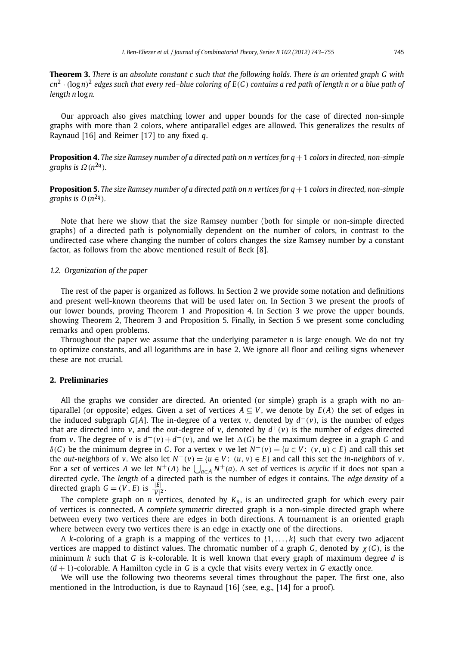**Theorem 3.** *There is an absolute constant c such that the following holds. There is an oriented graph G with cn*<sup>2</sup> · *(*log*n)*<sup>2</sup> *edges such that every red–blue coloring of E(G) contains a red path of length n or a blue path of length n* log*n.*

Our approach also gives matching lower and upper bounds for the case of directed non-simple graphs with more than 2 colors, where antiparallel edges are allowed. This generalizes the results of Raynaud [16] and Reimer [17] to any fixed *q*.

**Proposition 4.** *The size Ramsey number of a directed path on n vertices for q*+1 *colors in directed, non-simple graphs is Ω(n*2*<sup>q</sup>).*

**Proposition 5.** *The size Ramsey number of a directed path on n vertices for q*+1 *colors in directed, non-simple graphs is*  $O(n^{2q})$ *.* 

Note that here we show that the size Ramsey number (both for simple or non-simple directed graphs) of a directed path is polynomially dependent on the number of colors, in contrast to the undirected case where changing the number of colors changes the size Ramsey number by a constant factor, as follows from the above mentioned result of Beck [8].

#### *1.2. Organization of the paper*

The rest of the paper is organized as follows. In Section 2 we provide some notation and definitions and present well-known theorems that will be used later on. In Section 3 we present the proofs of our lower bounds, proving Theorem 1 and Proposition 4. In Section 3 we prove the upper bounds, showing Theorem 2, Theorem 3 and Proposition 5. Finally, in Section 5 we present some concluding remarks and open problems.

Throughout the paper we assume that the underlying parameter  $n$  is large enough. We do not try to optimize constants, and all logarithms are in base 2. We ignore all floor and ceiling signs whenever these are not crucial.

### **2. Preliminaries**

All the graphs we consider are directed. An oriented (or simple) graph is a graph with no antiparallel (or opposite) edges. Given a set of vertices  $A \subseteq V$ , we denote by  $E(A)$  the set of edges in the induced subgraph *G*[*A*]. The in-degree of a vertex *v*, denoted by *d*−*(v)*, is the number of edges that are directed into *v*, and the out-degree of *v*, denoted by  $d^+(v)$  is the number of edges directed from *v*. The degree of *v* is  $d^+(v) + d^-(v)$ , and we let  $\Delta(G)$  be the maximum degree in a graph G and *δ*(*G*) be the minimum degree in *G*. For a vertex *v* we let  $N^+(v) = {u ∈ V: (v, u) ∈ E}$  and call this set the *out-neighbors* of *v*. We also let  $N^{-}(v) = \{u \in V : (u, v) \in E\}$  and call this set the *in-neighbors* of *v*. For a set of vertices A we let  $N^+(A)$  be  $\bigcup_{a \in A} N^+(a)$ . A set of vertices is *acyclic* if it does not span a directed cycle. The *length* of a directed path is the number of edges it contains. The *edge density* of a directed graph  $G = (V, E)$  is  $\frac{|E|}{|V|^2}$ .

The complete graph on *n* vertices, denoted by *Kn*, is an undirected graph for which every pair of vertices is connected. A *complete symmetric* directed graph is a non-simple directed graph where between every two vertices there are edges in both directions. A tournament is an oriented graph where between every two vertices there is an edge in exactly one of the directions.

A *k*-coloring of a graph is a mapping of the vertices to {1*,...,k*} such that every two adjacent vertices are mapped to distinct values. The chromatic number of a graph *G*, denoted by *χ(G)*, is the minimum *k* such that *G* is *k*-colorable. It is well known that every graph of maximum degree *d* is *(d* + 1*)*-colorable. A Hamilton cycle in *G* is a cycle that visits every vertex in *G* exactly once.

We will use the following two theorems several times throughout the paper. The first one, also mentioned in the Introduction, is due to Raynaud [16] (see, e.g., [14] for a proof).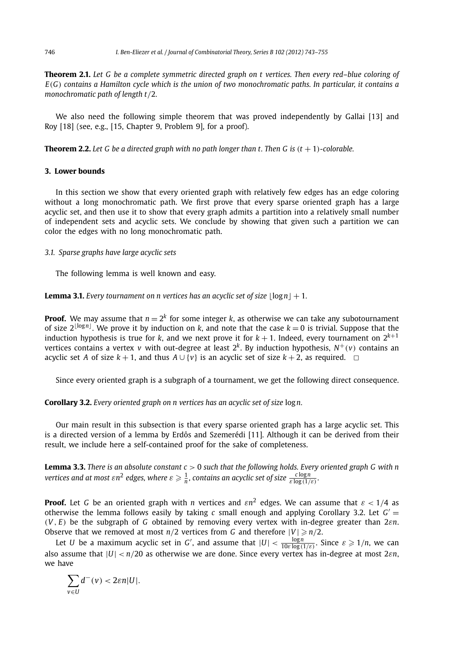**Theorem 2.1.** *Let G be a complete symmetric directed graph on t vertices. Then every red–blue coloring of E(G) contains a Hamilton cycle which is the union of two monochromatic paths. In particular, it contains a monochromatic path of length t/*2*.*

We also need the following simple theorem that was proved independently by Gallai [13] and Roy [18] (see, e.g., [15, Chapter 9, Problem 9], for a proof).

**Theorem 2.2.** Let G be a directed graph with no path longer than t. Then G is  $(t + 1)$ -colorable.

#### **3. Lower bounds**

In this section we show that every oriented graph with relatively few edges has an edge coloring without a long monochromatic path. We first prove that every sparse oriented graph has a large acyclic set, and then use it to show that every graph admits a partition into a relatively small number of independent sets and acyclic sets. We conclude by showing that given such a partition we can color the edges with no long monochromatic path.

#### *3.1. Sparse graphs have large acyclic sets*

The following lemma is well known and easy.

**Lemma 3.1.** *Every tournament on n vertices has an acyclic set of size*  $|\log n| + 1$ .

**Proof.** We may assume that  $n = 2^k$  for some integer *k*, as otherwise we can take any subotournament of size  $2^{\lfloor \log n \rfloor}$ . We prove it by induction on *k*, and note that the case  $k = 0$  is trivial. Suppose that the induction hypothesis is true for *k*, and we next prove it for  $k+1$ . Indeed, every tournament on  $2^{k+1}$ vertices contains a vertex *v* with out-degree at least  $2^k$ . By induction hypothesis,  $N^+(v)$  contains an acyclic set *A* of size  $k + 1$ , and thus  $A \cup \{v\}$  is an acyclic set of size  $k + 2$ , as required.  $\Box$ 

Since every oriented graph is a subgraph of a tournament, we get the following direct consequence.

**Corollary 3.2.** *Every oriented graph on n vertices has an acyclic set of size* log*n.*

Our main result in this subsection is that every sparse oriented graph has a large acyclic set. This is a directed version of a lemma by Erdős and Szemerédi [11]. Although it can be derived from their result, we include here a self-contained proof for the sake of completeness.

**Lemma 3.3.** *There is an absolute constant c >* 0 *such that the following holds. Every oriented graph G with n vertices and at most*  $\varepsilon n^2$  *edges, where*  $\varepsilon \geqslant \frac{1}{n}$ *, contains an acyclic set of size*  $\frac{c\log n}{\varepsilon\log{(1/\varepsilon)}}$ *.* 

**Proof.** Let *G* be an oriented graph with *n* vertices and *εn*<sup>2</sup> edges. We can assume that *ε <* 1*/*4 as otherwise the lemma follows easily by taking *c* small enough and applying Corollary 3.2. Let  $G' =$ *(V , E)* be the subgraph of *G* obtained by removing every vertex with in-degree greater than 2*εn*. Observe that we removed at most  $n/2$  vertices from *G* and therefore  $|V| \ge n/2$ .

Let *U* be a maximum acyclic set in *G'*, and assume that  $|U| < \frac{\log n}{10 \varepsilon \log(1/\varepsilon)}$ . Since  $\varepsilon \geqslant 1/n$ , we can also assume that |*U*| *< n/*20 as otherwise we are done. Since every vertex has in-degree at most 2*εn*, we have

$$
\sum_{v\in U}d^-(v)<2\varepsilon n|U|.
$$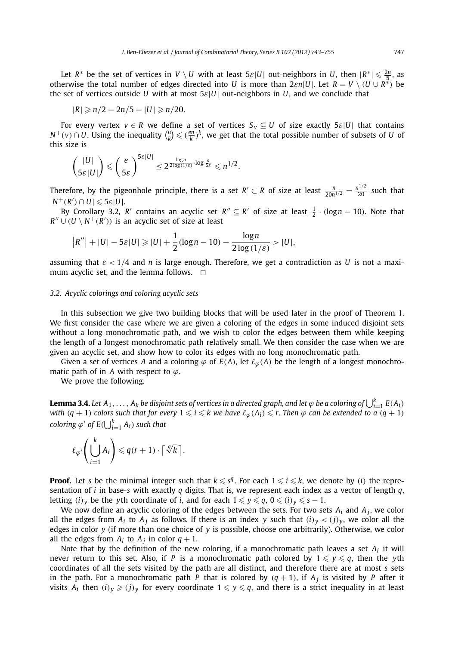Let  $R^*$  be the set of vertices in  $V \setminus U$  with at least  $5\varepsilon|U|$  out-neighbors in *U*, then  $|R^*| \leq \frac{2n}{5}$ , as otherwise the total number of edges directed into *U* is more than  $2\varepsilon n|U|$ . Let  $R = V \setminus (U \cup R^*)$  be the set of vertices outside *U* with at most 5*ε*|*U*| out-neighbors in *U*, and we conclude that

$$
|R|\geqslant n/2-2n/5-|U|\geqslant n/20.
$$

For every vertex  $v \in R$  we define a set of vertices  $S_v \subseteq U$  of size exactly  $5\varepsilon|U|$  that contains *N*<sup>+</sup>(*v*)∩*U*. Using the inequality  $\binom{n}{k}$  ≤ ( $\frac{en}{k}$ )<sup>k</sup>, we get that the total possible number of subsets of *U* of this size is

$$
\binom{|U|}{5\varepsilon|U|} \leqslant \left(\frac{e}{5\varepsilon}\right)^{5\varepsilon|U|} \leq 2^{\frac{\log n}{2\log(1/\varepsilon)}\cdot \log \frac{e}{5\varepsilon}} \leqslant n^{1/2}.
$$

Therefore, by the pigeonhole principle, there is a set  $R' \subset R$  of size at least  $\frac{n}{20n^{1/2}} = \frac{n^{1/2}}{20}$  such that  $|N^+(R') \cap U| \leqslant 5\varepsilon |U|.$ 

By Corollary 3.2, *R'* contains an acyclic set  $R'' \subseteq R'$  of size at least  $\frac{1}{2} \cdot (\log n - 10)$ . Note that  $R'' \cup (U \setminus N^+(R'))$  is an acyclic set of size at least

$$
|R''| + |U| - 5\varepsilon|U| \geq |U| + \frac{1}{2}(\log n - 10) - \frac{\log n}{2\log(1/\varepsilon)} > |U|,
$$

assuming that *ε <* 1*/*4 and *n* is large enough. Therefore, we get a contradiction as *U* is not a maximum acyclic set, and the lemma follows.  $\Box$ 

#### *3.2. Acyclic colorings and coloring acyclic sets*

In this subsection we give two building blocks that will be used later in the proof of Theorem 1. We first consider the case where we are given a coloring of the edges in some induced disjoint sets without a long monochromatic path, and we wish to color the edges between them while keeping the length of a longest monochromatic path relatively small. We then consider the case when we are given an acyclic set, and show how to color its edges with no long monochromatic path.

Given a set of vertices *A* and a coloring  $\varphi$  of  $E(A)$ , let  $\ell_{\varphi}(A)$  be the length of a longest monochromatic path of in *A* with respect to *ϕ*.

We prove the following.

**Lemma 3.4.** Let  $A_1, \ldots, A_k$  be disjoint sets of vertices in a directed graph, and let  $\varphi$  be a coloring of  $\bigcup_{i=1}^k E(A_i)$ with  $(q + 1)$  colors such that for every  $1 \leqslant i \leqslant k$  we have  $\ell_\varphi(A_i) \leqslant r.$  Then  $\varphi$  can be extended to a  $(q + 1)$ *coloring*  $\varphi'$  *of*  $E(\bigcup_{i=1}^k A_i)$  *such that* 

$$
\ell_{\varphi'}\left(\bigcup_{i=1}^k A_i\right) \leqslant q(r+1) \cdot \lceil \sqrt[4]{k} \rceil.
$$

**Proof.** Let *s* be the minimal integer such that  $k \leqslant s^q$ . For each  $1 \leqslant i \leqslant k$ , we denote by *(i)* the representation of *i* in base-*s* with exactly *q* digits. That is, we represent each index as a vector of length *q*, letting  $(i)_y$  be the yth coordinate of *i*, and for each  $1 \leqslant y \leqslant q$ ,  $0 \leqslant (i)_y \leqslant s - 1$ .

We now define an acyclic coloring of the edges between the sets. For two sets  $A_i$  and  $A_j$ , we color all the edges from  $A_i$  to  $A_j$  as follows. If there is an index *y* such that  $(i)_y < (j)_y$ , we color all the edges in color *y* (if more than one choice of *y* is possible, choose one arbitrarily). Otherwise, we color all the edges from  $A_i$  to  $A_j$  in color  $q + 1$ .

Note that by the definition of the new coloring, if a monochromatic path leaves a set *Ai* it will never return to this set. Also, if P is a monochromatic path colored by  $1 \leqslant y \leqslant q,$  then the  $y$ th coordinates of all the sets visited by the path are all distinct, and therefore there are at most *s* sets in the path. For a monochromatic path *P* that is colored by  $(q + 1)$ , if  $A_j$  is visited by *P* after it visits  $A_i$  then  $(i)_y \geqslant (j)_y$  for every coordinate  $1 \leqslant y \leqslant q$ , and there is a strict inequality in at least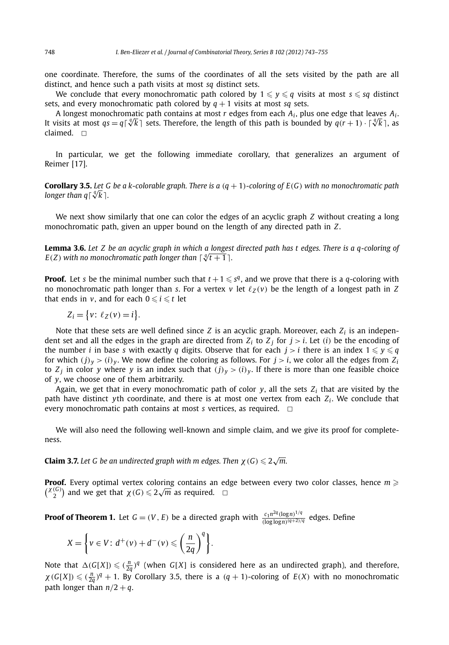one coordinate. Therefore, the sums of the coordinates of all the sets visited by the path are all distinct, and hence such a path visits at most *sq* distinct sets.

We conclude that every monochromatic path colored by  $1 \leqslant y \leqslant q$  visits at most  $s \leqslant sq$  distinct sets, and every monochromatic path colored by  $q + 1$  visits at most *sq* sets.

A longest monochromatic path contains at most *r* edges from each *Ai*, plus one edge that leaves *Ai* . *A* longest monochromatic path contains at most *r* edges from each  $A_i$ , plus one edge that leaves  $A_i$ .<br>It visits at most  $qs = q\lceil \sqrt[q]{k} \rceil$  sets. Therefore, the length of this path is bounded by  $q(r + 1) \cdot \lceil \sqrt[q]{k} \rceil$ , claimed.  $\Box$ 

In particular, we get the following immediate corollary, that generalizes an argument of Reimer [17].

**Corollary 3.5.** *Let G be a k-colorable graph. There is a (q* + 1*)-coloring of E(G) with no monochromatic path* **Corollary 3.5.** Let C<br>longer than q∫∜k].

We next show similarly that one can color the edges of an acyclic graph *Z* without creating a long monochromatic path, given an upper bound on the length of any directed path in *Z*.

**Lemma 3.6.** *Let Z be an acyclic graph in which a longest directed path has t edges. There is a q-coloring of E*(*Z*) with no monochromatic path longer than  $\lceil \sqrt[q]{t+1} \rceil$ .

**Proof.** Let *s* be the minimal number such that  $t + 1 \leqslant s^q$ , and we prove that there is a *q*-coloring with no monochromatic path longer than *s*. For a vertex *v* let  $\ell_Z(v)$  be the length of a longest path in *Z* that ends in  $v$ , and for each  $0 \leqslant i \leqslant t$  let

$$
Z_i = \{v: \ell_Z(v) = i\}.
$$

Note that these sets are well defined since *Z* is an acyclic graph. Moreover, each *Zi* is an independent set and all the edges in the graph are directed from  $Z_i$  to  $Z_j$  for  $j > i$ . Let (*i*) be the encoding of the number  $i$  in base  $s$  with exactly  $q$  digits. Observe that for each  $j > i$  there is an index  $1 \leqslant y \leqslant q$ for which  $(j)_y > (i)_y$ . We now define the coloring as follows. For  $j > i$ , we color all the edges from  $Z_i$ to  $Z_i$  in color y where y is an index such that  $(j)_y > (i)_y$ . If there is more than one feasible choice of *y*, we choose one of them arbitrarily.

Again, we get that in every monochromatic path of color  $y$ , all the sets  $Z_i$  that are visited by the path have distinct *y*th coordinate, and there is at most one vertex from each  $Z_i$ . We conclude that every monochromatic path contains at most *s* vertices, as required.  $\Box$ 

We will also need the following well-known and simple claim, and we give its proof for completeness.

**Claim 3.7.** Let G be an undirected graph with m edges. Then  $\chi$  (G)  $\leqslant$  2 $\sqrt{m}$ .

**Proof.** Every optimal vertex coloring contains an edge between every two color classes, hence *m (***<sup>***X***<sub>(</sub>***G***</sub>)</sup> and we get that**  $\chi$ **(***G***)**  $\leq$  **2** $\sqrt{m}$  **as required.**  $\Box$ 

**Proof of Theorem 1.** Let  $G = (V, E)$  be a directed graph with  $\frac{c_1 n^{2q} (\log n)^{1/q}}{(\log \log n)^{(q+2)/q}}$  edges. Define

$$
X = \left\{ v \in V : d^+(v) + d^-(v) \leqslant \left( \frac{n}{2q} \right)^q \right\}.
$$

Note that  $\Delta(G[X]) \leqslant \frac{n}{2q}$ <sup>q</sup> (when *G*[*X*] is considered here as an undirected graph), and therefore,  $\chi(G[X]) \leq (n \frac{n}{2q})^q + 1$ . By Corollary 3.5, there is a  $(q + 1)$ -coloring of  $E(X)$  with no monochromatic path longer than  $n/2 + q$ .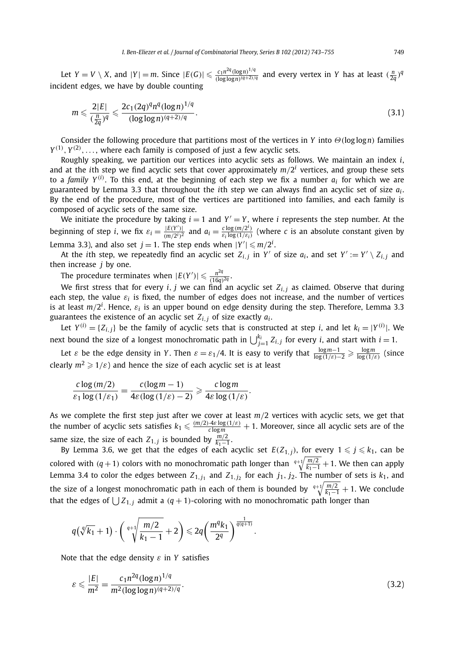Let  $Y = V \setminus X$ , and  $|Y| = m$ . Since  $|E(G)| \leqslant \frac{c_1 n^{2q} (\log n)^{1/q}}{(\log \log n)^{(q+2)/q}}$  and every vertex in Y has at least  $(\frac{n}{2q})^q$ incident edges, we have by double counting

$$
m \leqslant \frac{2|E|}{(\frac{n}{2q})^q} \leqslant \frac{2c_1(2q)^q n^q (\log n)^{1/q}}{(\log \log n)^{(q+2)/q}}.
$$
\n(3.1)

Consider the following procedure that partitions most of the vertices in *Y* into *Θ(*log log*n)* families  $Y^{(1)}, Y^{(2)}, \ldots$ , where each family is composed of just a few acyclic sets.

Roughly speaking, we partition our vertices into acyclic sets as follows. We maintain an index *i*, and at the *i*th step we find acyclic sets that cover approximately  $m/2<sup>i</sup>$  vertices, and group these sets to a *family Y (i)* . To this end, at the beginning of each step we fix a number *ai* for which we are guaranteed by Lemma 3.3 that throughout the *i*th step we can always find an acyclic set of size *ai* . By the end of the procedure, most of the vertices are partitioned into families, and each family is composed of acyclic sets of the same size.

We initiate the procedure by taking  $i = 1$  and  $Y' = Y$ , where *i* represents the step number. At the beginning of step *i*, we fix  $\varepsilon_i = \frac{|E(Y')|}{(m/2^i)^2}$  and  $a_i = \frac{c \log(m/2^i)}{\varepsilon_i \log(1/\varepsilon_i)}$  (where *c* is an absolute constant given by Lemma 3.3), and also set  $j = 1$ . The step ends when  $|Y'| \leqslant m/2^i$ .

At the *i*th step, we repeatedly find an acyclic set  $Z_{i,j}$  in *Y'* of size  $a_i$ , and set  $Y' := Y' \setminus Z_{i,j}$  and then increase *j* by one.

The procedure terminates when  $|E(Y')| \leqslant \frac{n^{2q}}{(16q)^{2q}}$ .

We first stress that for every *i, j* we can find an acyclic set *Zi,<sup>j</sup>* as claimed. Observe that during each step, the value  $\varepsilon_i$  is fixed, the number of edges does not increase, and the number of vertices is at least *m/*2*<sup>i</sup>* . Hence, *ε<sup>i</sup>* is an upper bound on edge density during the step. Therefore, Lemma 3.3 guarantees the existence of an acyclic set  $Z_{i,j}$  of size exactly  $a_i$ .

Let  $Y^{(i)} = \{Z_{i,j}\}$  be the family of acyclic sets that is constructed at step *i*, and let  $k_i = |Y^{(i)}|$ . We next bound the size of a longest monochromatic path in  $\bigcup_{j=1}^{k_i} Z_{i,j}$  for every *i*, and start with  $i=1.$ 

Let *ε* be the edge density in *Y*. Then  $\varepsilon = \varepsilon_1/4$ . It is easy to verify that  $\frac{\log m - 1}{\log(1/\varepsilon) - 2} \geq \frac{\log m}{\log(1/\varepsilon)}$  (since clearly  $m^2 \geqslant 1/\varepsilon$ ) and hence the size of each acyclic set is at least

$$
\frac{c \log(m/2)}{\varepsilon_1 \log(1/\varepsilon_1)} = \frac{c(\log m - 1)}{4\varepsilon(\log(1/\varepsilon) - 2)} \geqslant \frac{c \log m}{4\varepsilon \log(1/\varepsilon)}.
$$

As we complete the first step just after we cover at least *m/*2 vertices with acyclic sets, we get that the number of acyclic sets satisfies  $k_1 \leqslant \frac{(m/2)\cdot 4\varepsilon\log{(1/\varepsilon)}}{\varepsilon\log m}+1.$  Moreover, since all acyclic sets are of the same size, the size of each  $Z_{1,j}$  is bounded by  $\frac{m/2}{k_1-1}$ .

By Lemma 3.6, we get that the edges of each acyclic set  $E(Z_{1,j})$ , for every  $1 \leqslant j \leqslant k_1,$  can be colored with  $(q + 1)$  colors with no monochromatic path longer than  $\sqrt[q+1]{\frac{m}{k_1-1}} + 1$ . We then can apply Lemma 3.4 to color the edges between  $Z_{1,j_1}$  and  $Z_{1,j_2}$  for each  $j_1, j_2$ . The number of sets is  $k_1$ , and the size of a longest monochromatic path in each of them is bounded by  $\sqrt[q+1]{\frac{m/2}{k_1-1}} + 1$ . We conclude that the edges of  $\bigcup Z_{1,j}$  admit a  $(q + 1)$ -coloring with no monochromatic path longer than

$$
q(\sqrt[q]{k_1}+1)\cdot \left(\sqrt[q+1]{\frac{m/2}{k_1-1}}+2\right)\leqslant 2q\left(\frac{m^q k_1}{2^q}\right)^{\frac{1}{q(q+1)}}.
$$

Note that the edge density *ε* in *Y* satisfies

$$
\varepsilon \le \frac{|E|}{m^2} = \frac{c_1 n^{2q} (\log n)^{1/q}}{m^2 (\log \log n)^{(q+2)/q}}.
$$
\n(3.2)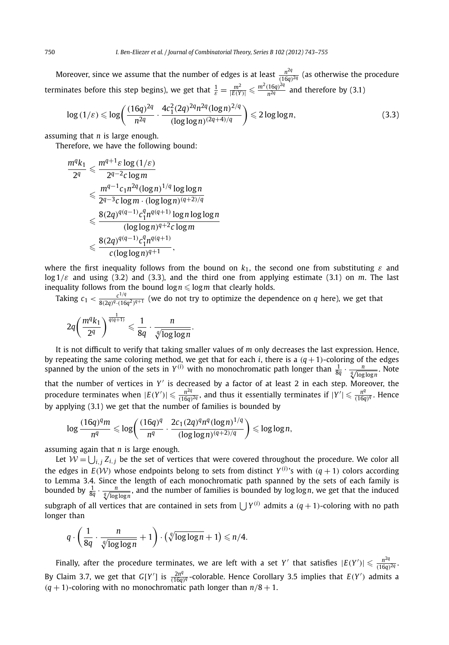Moreover, since we assume that the number of edges is at least  $\frac{n^{2q}}{(16q)^{2q}}$  (as otherwise the procedure terminates before this step begins), we get that  $\frac{1}{\varepsilon} = \frac{m^2}{|E(Y)|} \leqslant \frac{m^2(16q)^{2q}}{n^{2q}}$  and therefore by (3.1)

$$
\log(1/\varepsilon) \leqslant \log\left(\frac{(16q)^{2q}}{n^{2q}} \cdot \frac{4c_1^2(2q)^{2q}n^{2q}(\log n)^{2/q}}{(\log\log n)^{(2q+4)/q}}\right) \leqslant 2\log\log n,\tag{3.3}
$$

assuming that *n* is large enough.

Therefore, we have the following bound:

$$
\frac{m^q k_1}{2^q} \leq \frac{m^{q+1} \varepsilon \log (1/\varepsilon)}{2^{q-2} c \log m}
$$
\n
$$
\leq \frac{m^{q-1} c_1 n^{2q} (\log n)^{1/q} \log \log n}{2^{q-3} c \log m \cdot (\log \log n)^{(q+2)/q}}
$$
\n
$$
\leq \frac{8(2q)^{q(q-1)} c_1^q n^{q(q+1)} \log n \log \log n}{(\log \log n)^{q+2} c \log m}
$$
\n
$$
\leq \frac{8(2q)^{q(q-1)} c_1^q n^{q(q+1)}}{c (\log \log n)^{q+1}},
$$

where the first inequality follows from the bound on  $k_1$ , the second one from substituting  $\varepsilon$  and log 1*/ε* and using (3.2) and (3.3), and the third one from applying estimate (3.1) on *m*. The last inequality follows from the bound  $\log n \leqslant \log m$  that clearly holds.

Taking  $c_1 < \frac{c^{1/q}}{8(2q)^{q} \cdot (16q^2)^{q+1}}$  (we do not try to optimize the dependence on *q* here), we get that

$$
2q\left(\frac{m^q k_1}{2^q}\right)^{\frac{1}{q(q+1)}} \leqslant \frac{1}{8q} \cdot \frac{n}{\sqrt[q]{\log\log n}}.
$$

It is not difficult to verify that taking smaller values of *m* only decreases the last expression. Hence, by repeating the same coloring method, we get that for each *i*, there is a  $(q + 1)$ -coloring of the edges spanned by the union of the sets in  $Y^{(i)}$  with no monochromatic path longer than  $\frac{1}{8q} \cdot \frac{n}{\sqrt[q]{\log\log n}}$ . Note that the number of vertices in *Y* is decreased by a factor of at least 2 in each step. Moreover, the procedure terminates when  $|E(Y')|\leqslant \frac{n^{2q}}{(16q)^{2q}}$ , and thus it essentially terminates if  $|Y'|\leqslant \frac{n^q}{(16q)^q}$ . Hence by applying (3.1) we get that the number of families is bounded by

$$
\log \frac{(16q)^q m}{n^q} \leq \log \left( \frac{(16q)^q}{n^q} \cdot \frac{2c_1 (2q)^q n^q (\log n)^{1/q}}{(\log \log n)^{(q+2)/q}} \right) \leq \log \log n,
$$

assuming again that *n* is large enough.

longer than

Let  $\mathcal{W} = \bigcup_{i,j} Z_{i,j}$  be the set of vertices that were covered throughout the procedure. We color all the edges in  $E(W)$  whose endpoints belong to sets from distinct  $Y^{(i)}$ 's with  $(q + 1)$  colors according to Lemma 3.4. Since the length of each monochromatic path spanned by the sets of each family is bounded by  $\frac{1}{8q} \cdot \frac{n}{\sqrt[4]{\log\log n}}$ , and the number of families is bounded by log log *n*, we get that the induced subgraph of all vertices that are contained in sets from  $\int Y^{(i)}$  admits a  $(q + 1)$ -coloring with no path

$$
q \cdot \left(\frac{1}{8q} \cdot \frac{n}{\sqrt[q]{\log\log n}} + 1\right) \cdot \left(\sqrt[q]{\log\log n} + 1\right) \leq n/4.
$$

Finally, after the procedure terminates, we are left with a set *Y'* that satisfies  $|E(Y')| \leq \frac{n^{2q}}{(16q)^{2q}}$ . By Claim 3.7, we get that *G*[Y'] is  $\frac{2n^q}{(16q)^q}$ -colorable. Hence Corollary 3.5 implies that  $E(Y')$  admits a  $(q + 1)$ -coloring with no monochromatic path longer than  $n/8 + 1$ .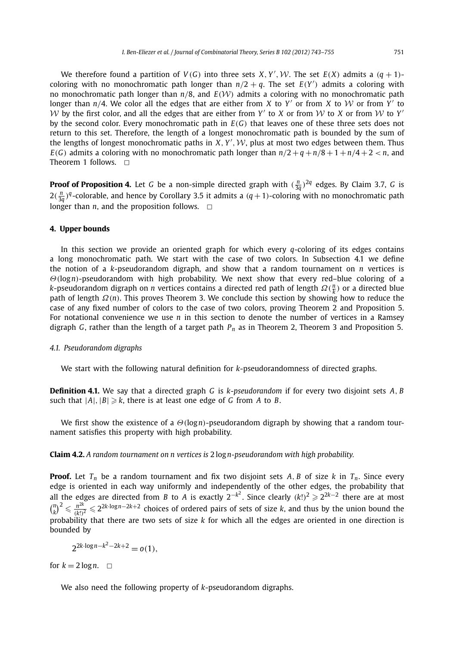We therefore found a partition of  $V(G)$  into three sets  $X, Y', W$ . The set  $E(X)$  admits a  $(q + 1)$ coloring with no monochromatic path longer than  $n/2 + q$ . The set  $E(Y')$  admits a coloring with no monochromatic path longer than *<sup>n</sup>/*8, and *<sup>E</sup>(*W*)* admits a coloring with no monochromatic path longer than  $n/4$ . We color all the edges that are either from *X* to *Y'* or from *X* to *W* or from *Y'* to W by the first color, and all the edges that are either from  $Y'$  to  $X$  or from  $W$  to  $X$  or from  $W$  to  $Y'$ by the second color. Every monochromatic path in *E(G)* that leaves one of these three sets does not return to this set. Therefore, the length of a longest monochromatic path is bounded by the sum of the lengths of longest monochromatic paths in  $X, Y', W$ , plus at most two edges between them. Thus  $E(G)$  admits a coloring with no monochromatic path longer than  $n/2 + q + n/8 + 1 + n/4 + 2 < n$ , and Theorem 1 follows.  $\square$ 

**Proof of Proposition 4.** Let *G* be a non-simple directed graph with  $(\frac{n}{3q})^{2q}$  edges. By Claim 3.7, *G* is  $2(\frac{n}{3q})^q$ -colorable, and hence by Corollary 3.5 it admits a  $(q+1)$ -coloring with no monochromatic path longer than  $n$ , and the proposition follows.  $\Box$ 

#### **4. Upper bounds**

In this section we provide an oriented graph for which every *q*-coloring of its edges contains a long monochromatic path. We start with the case of two colors. In Subsection 4.1 we define the notion of a *k*-pseudorandom digraph, and show that a random tournament on *n* vertices is *Θ(*log*n)*-pseudorandom with high probability. We next show that every red–blue coloring of a *k*-pseudorandom digraph on *n* vertices contains a directed red path of length *Ω*( $\frac{n}{k}$ ) or a directed blue path of length *Ω(n)*. This proves Theorem 3. We conclude this section by showing how to reduce the case of any fixed number of colors to the case of two colors, proving Theorem 2 and Proposition 5. For notational convenience we use *n* in this section to denote the number of vertices in a Ramsey digraph *G*, rather than the length of a target path *Pn* as in Theorem 2, Theorem 3 and Proposition 5.

#### *4.1. Pseudorandom digraphs*

We start with the following natural definition for *k*-pseudorandomness of directed graphs.

**Definition 4.1.** We say that a directed graph *G* is *k*-*pseudorandom* if for every two disjoint sets *A, B* such that  $|A|, |B| \ge k$ , there is at least one edge of *G* from *A* to *B*.

We first show the existence of a *Θ(*log*n)*-pseudorandom digraph by showing that a random tournament satisfies this property with high probability.

**Claim 4.2.** *A random tournament on n vertices is* 2 log*n-pseudorandom with high probability.*

**Proof.** Let  $T_n$  be a random tournament and fix two disjoint sets A, B of size k in  $T_n$ . Since every edge is oriented in each way uniformly and independently of the other edges, the probability that all the edges are directed from *B* to *A* is exactly 2−*k*<sup>2</sup> . Since clearly *(k*!*)*<sup>2</sup> 22*k*−<sup>2</sup> there are at most  ${n \choose k}^2 \leq \frac{n^{2k}}{(k!)^2} \leq 2^{2k \cdot \log n - 2k + 2}$  choices of ordered pairs of sets of size *k*, and thus by the union bound the probability that there are two sets of size *k* for which all the edges are oriented in one direction is bounded by

 $2^{2k \cdot \log n - k^2 - 2k + 2} = o(1)$ 

for  $k = 2 \log n$ .  $\Box$ 

We also need the following property of *k*-pseudorandom digraphs.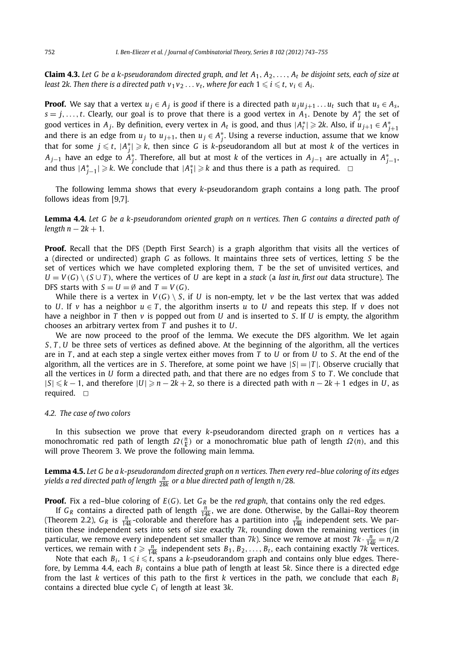**Claim 4.3.** Let G be a k-pseudorandom directed graph, and let  $A_1, A_2, \ldots, A_t$  be disjoint sets, each of size at least 2k. Then there is a directed path  $v_1v_2\ldots v_t$ , where for each  $1\leqslant i\leqslant t$ ,  $v_i\in A_i$ .

**Proof.** We say that a vertex  $u_j \in A_j$  is good if there is a directed path  $u_j u_{j+1} \ldots u_t$  such that  $u_s \in A_s$ ,  $s = j, \ldots, t$ . Clearly, our goal is to prove that there is a good vertex in  $A_1$ . Denote by  $A_j^*$  the set of good vertices in  $A_j$ . By definition, every vertex in  $A_t$  is good, and thus  $|A_t^*| \geqslant 2k$ . Also, if  $u_{j+1} \in A_{j+1}^*$ and there is an edge from  $u_j$  to  $u_{j+1}$ , then  $u_j \in A_j^*$ . Using a reverse induction, assume that we know that for some  $j \leqslant t$ ,  $|A_j^*| \geqslant k$ , then since *G* is *k*-pseudorandom all but at most *k* of the vertices in  $A_{j-1}$  have an edge to  $A_j^*$ . Therefore, all but at most  $k$  of the vertices in  $A_{j-1}$  are actually in  $A_{j-1}^*$ , and thus  $|A_{j-1}^*| \geq k$ . We conclude that  $|A_1^*| \geq k$  and thus there is a path as required.  $\Box$ 

The following lemma shows that every *k*-pseudorandom graph contains a long path. The proof follows ideas from [9,7].

**Lemma 4.4.** *Let G be a k-pseudorandom oriented graph on n vertices. Then G contains a directed path of*  $length n - 2k + 1.$ 

**Proof.** Recall that the DFS (Depth First Search) is a graph algorithm that visits all the vertices of a (directed or undirected) graph *G* as follows. It maintains three sets of vertices, letting *S* be the set of vertices which we have completed exploring them, *T* be the set of unvisited vertices, and  $U = V(G) \setminus (S \cup T)$ , where the vertices of *U* are kept in a *stack* (a *last in, first out* data structure). The DFS starts with  $S = U = \emptyset$  and  $T = V(G)$ .

While there is a vertex in  $V(G) \setminus S$ , if U is non-empty, let v be the last vertex that was added to *U*. If *v* has a neighbor  $u \in T$ , the algorithm inserts *u* to *U* and repeats this step. If *v* does not have a neighbor in *T* then *v* is popped out from *U* and is inserted to *S*. If *U* is empty, the algorithm chooses an arbitrary vertex from *T* and pushes it to *U*.

We are now proceed to the proof of the lemma. We execute the DFS algorithm. We let again *S, T , U* be three sets of vertices as defined above. At the beginning of the algorithm, all the vertices are in *T* , and at each step a single vertex either moves from *T* to *U* or from *U* to *S*. At the end of the algorithm, all the vertices are in *S*. Therefore, at some point we have  $|S|=|T|$ . Observe crucially that all the vertices in *U* form a directed path, and that there are no edges from *S* to *T* . We conclude that  $|S| \le k - 1$ , and therefore  $|U| \ge n - 2k + 2$ , so there is a directed path with  $n - 2k + 1$  edges in *U*, as required.  $\Box$ 

#### *4.2. The case of two colors*

In this subsection we prove that every *k*-pseudorandom directed graph on *n* vertices has a monochromatic red path of length  $\Omega(\frac{n}{k})$  or a monochromatic blue path of length  $\Omega(n)$ , and this will prove Theorem 3. We prove the following main lemma.

**Lemma 4.5.** *Let G be a k-pseudorandom directed graph on n vertices. Then every red–blue coloring of its edges yields a red directed path of length <sup>n</sup>* <sup>28</sup>*<sup>k</sup> or a blue directed path of length n/*28*.*

**Proof.** Fix a red–blue coloring of  $E(G)$ . Let  $G_R$  be the *red graph*, that contains only the red edges.

If  $G_R$  contains a directed path of length  $\frac{n}{14k}$ , we are done. Otherwise, by the Gallai–Roy theorem (Theorem 2.2),  $G_R$  is  $\frac{n}{14k}$ -colorable and therefore has a partition into  $\frac{n}{14k}$  independent sets. We partition these independent sets into sets of size exactly 7*k*, rounding down the remaining vertices (in particular, we remove every independent set smaller than 7*k*). Since we remove at most 7*k*  $\cdot \frac{n}{14k} = n/2$ vertices, we remain with  $t \ge \frac{n}{14k}$  independent sets  $B_1, B_2, \ldots, B_t$ , each containing exactly 7*k* vertices.

Note that each  $B_i$ ,  $1 \leqslant i \leqslant t$ , spans a *k*-pseudorandom graph and contains only blue edges. Therefore, by Lemma 4.4, each *Bi* contains a blue path of length at least 5*k*. Since there is a directed edge from the last *k* vertices of this path to the first *k* vertices in the path, we conclude that each *Bi* contains a directed blue cycle *Ci* of length at least 3*k*.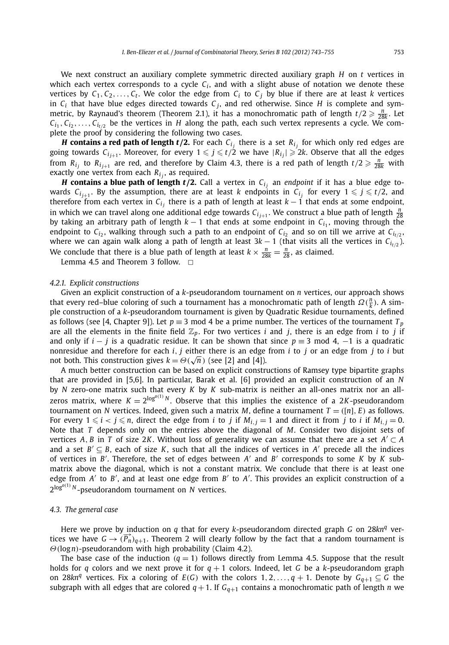We next construct an auxiliary complete symmetric directed auxiliary graph *H* on *t* vertices in which each vertex corresponds to a cycle  $C_i$ , and with a slight abuse of notation we denote these vertices by  $C_1, C_2, \ldots, C_t$ . We color the edge from  $C_i$  to  $C_i$  by blue if there are at least *k* vertices in  $C_i$  that have blue edges directed towards  $C_j$ , and red otherwise. Since *H* is complete and symmetric, by Raynaud's theorem (Theorem 2.1), it has a monochromatic path of length  $t/2 \geq \frac{n}{28k}$ . Let  $C_{i_1}, C_{i_2}, \ldots, C_{i_{t/2}}$  be the vertices in *H* along the path, each such vertex represents a cycle. We complete the proof by considering the following two cases.

*H* contains a red path of length  $t/2$ . For each  $C_{i_j}$  there is a set  $R_{i_j}$  for which only red edges are going towards  $C_{i_{j+1}}$ . Moreover, for every  $1 \leqslant j \leqslant t/2$  we have  $|R_{i_j}| \geqslant 2k$ . Observe that all the edges from  $R_{i_j}$  to  $R_{i_{j+1}}$  are red, and therefore by Claim 4.3, there is a red path of length  $t/2 \geq \frac{n}{28k}$  with exactly one vertex from each  $R_i$ , as required.

*H* **contains a blue path of length**  $t/2$ **.** Call a vertex in  $C_i$  an *endpoint* if it has a blue edge towards  $C_{i_{j+1}}$ . By the assumption, there are at least  $k$  endpoints in  $C_{i_j}$  for every  $1 \leqslant j \leqslant t/2$ , and therefore from each vertex in  $C_{i_j}$  there is a path of length at least  $k - 1$  that ends at some endpoint, in which we can travel along one additional edge towards  $C_{i_{j+1}}$ . We construct a blue path of length  $\frac{n}{28}$ by taking an arbitrary path of length *k* − 1 that ends at some endpoint in *Ci*<sup>1</sup> , moving through the endpoint to  $C_i$ , walking through such a path to an endpoint of  $C_i$ <sub>2</sub> and so on till we arrive at  $C_{i/2}$ , where we can again walk along a path of length at least  $3k - 1$  (that visits all the vertices in  $C_{i_1/2}$ ). We conclude that there is a blue path of length at least  $k \times \frac{n}{28k} = \frac{n}{28}$ , as claimed.

Lemma 4.5 and Theorem 3 follow.  $\Box$ 

#### *4.2.1. Explicit constructions*

Given an explicit construction of a *k*-pseudorandom tournament on *n* vertices, our approach shows that every red–blue coloring of such a tournament has a monochromatic path of length  $\Omega(\frac{n}{k})$ . A simple construction of a *k*-pseudorandom tournament is given by Quadratic Residue tournaments, defined as follows (see [4, Chapter 9]). Let  $p \equiv 3 \mod 4$  be a prime number. The vertices of the tournament  $T_p$ are all the elements in the finite field  $\mathbb{Z}_p$ . For two vertices *i* and *j*, there is an edge from *i* to *j* if and only if  $i - j$  is a quadratic residue. It can be shown that since  $p \equiv 3 \mod 4$ ,  $-1$  is a quadratic nonresidue and therefore for each *i, j* either there is an edge from *i* to *j* or an edge from *j* to *i* but not both. This construction gives  $k = \Theta(\sqrt{n})$  (see [2] and [4]).

A much better construction can be based on explicit constructions of Ramsey type bipartite graphs that are provided in [5,6]. In particular, Barak et al. [6] provided an explicit construction of an *N* by *N* zero-one matrix such that every *K* by *K* sub-matrix is neither an all-ones matrix nor an allzeros matrix, where  $K = 2^{\log^{o(1)}}$ <sup>N</sup>. Observe that this implies the existence of a 2*K*-pseudorandom tournament on *N* vertices. Indeed, given such a matrix *M*, define a tournament  $T = ([n], E)$  as follows. For every  $1 \leqslant i < j \leqslant n$ , direct the edge from *i* to *j* if  $M_{i,j} = 1$  and direct it from *j* to *i* if  $M_{i,j} = 0$ . Note that *T* depends only on the entries above the diagonal of *M*. Consider two disjoint sets of vertices *A*, *B* in *T* of size 2*K*. Without loss of generality we can assume that there are a set  $A' \subset A$ and a set  $B' \subseteq B$ , each of size *K*, such that all the indices of vertices in *A'* precede all the indices of vertices in  $B'$ . Therefore, the set of edges between  $A'$  and  $B'$  corresponds to some  $K$  by  $K$  submatrix above the diagonal, which is not a constant matrix. We conclude that there is at least one edge from *A'* to *B'*, and at least one edge from *B'* to *A'*. This provides an explicit construction of a 2log*<sup>o</sup>(*1*) <sup>N</sup>* -pseudorandom tournament on *<sup>N</sup>* vertices.

#### *4.3. The general case*

Here we prove by induction on *q* that for every *k*-pseudorandom directed graph *G* on 28*kn<sup>q</sup>* vertices we have  $G \rightarrow (\overrightarrow{P_n})_{q+1}$ . Theorem 2 will clearly follow by the fact that a random tournament is *Θ(*log*n)*-pseudorandom with high probability (Claim 4.2).

The base case of the induction  $(q = 1)$  follows directly from Lemma 4.5. Suppose that the result holds for *q* colors and we next prove it for  $q + 1$  colors. Indeed, let *G* be a *k*-pseudorandom graph on 28 $kn^q$  vertices. Fix a coloring of  $E(G)$  with the colors 1, 2, ...,  $q + 1$ . Denote by  $G_{q+1} \subseteq G$  the subgraph with all edges that are colored  $q + 1$ . If  $G_{q+1}$  contains a monochromatic path of length *n* we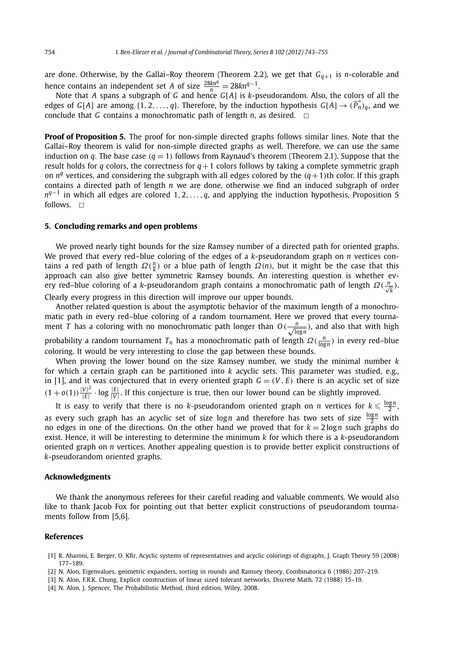are done. Otherwise, by the Gallai–Roy theorem (Theorem 2.2), we get that  $G_{q+1}$  is *n*-colorable and hence contains an independent set *A* of size  $\frac{28kn^q}{n} = 28kn^{q-1}$ .

Note that *A* spans a subgraph of *G* and hence *G*[*A*] is *k*-pseudorandom. Also, the colors of all the edges of *G*[*A*] are among  $\{1, 2, ..., q\}$ . Therefore, by the induction hypothesis  $G[A] \rightarrow (\overrightarrow{P_n})_q$ , and we conclude that *G* contains a monochromatic path of length  $n$ , as desired.  $\Box$ 

**Proof of Proposition 5.** The proof for non-simple directed graphs follows similar lines. Note that the Gallai–Roy theorem is valid for non-simple directed graphs as well. Therefore, we can use the same induction on *q*. The base case  $(q = 1)$  follows from Raynaud's theorem (Theorem 2.1). Suppose that the result holds for *q* colors, the correctness for  $q+1$  colors follows by taking a complete symmetric graph on  $n<sup>q</sup>$  vertices, and considering the subgraph with all edges colored by the  $(q+1)$ th color. If this graph contains a directed path of length *n* we are done, otherwise we find an induced subgraph of order *n*<sup>*q*−1</sup> in which all edges are colored 1, 2*,..., q*, and applying the induction hypothesis, Proposition 5 follows.  $\Box$ 

#### **5. Concluding remarks and open problems**

We proved nearly tight bounds for the size Ramsey number of a directed path for oriented graphs. We proved that every red–blue coloring of the edges of a *k*-pseudorandom graph on *n* vertices contains a red path of length  $\Omega(\frac{n}{k})$  or a blue path of length  $\Omega(n)$ , but it might be the case that this approach can also give better symmetric Ramsey bounds. An interesting question is whether every red–blue coloring of a *k*-pseudorandom graph contains a monochromatic path of length *Ω(* <sup>√</sup>*<sup>n</sup> k )*. Clearly every progress in this direction will improve our upper bounds.

Another related question is about the asymptotic behavior of the maximum length of a monochromatic path in every red–blue coloring of a random tournament. Here we proved that every tournament *T* has a coloring with no monochromatic path longer than  $O(\frac{n}{\sqrt{\log n}})$ , and also that with high probability a random tournament *T<sub>n</sub>* has a monochromatic path of length  $Ω(\frac{n}{\log n})$  in every red–blue coloring. It would be very interesting to close the gap between these bounds.

When proving the lower bound on the size Ramsey number, we study the minimal number *k* for which a certain graph can be partitioned into *k* acyclic sets. This parameter was studied, e.g., in [1], and it was conjectured that in every oriented graph  $G = (V, E)$  there is an acyclic set of size  $(1 + o(1))\frac{|V|^2}{|E|} \cdot \log \frac{|E|}{|V|}$ . If this conjecture is true, then our lower bound can be slightly improved.

It is easy to verify that there is no *k*-pseudorandom oriented graph on *n* vertices for  $k \leqslant \frac{\log n}{2}$ , as every such graph has an acyclic set of size  $\log n$  and therefore has two sets of size  $\frac{\log n}{2}$  with no edges in one of the directions. On the other hand we proved that for  $k = 2 \log n$  such graphs do exist. Hence, it will be interesting to determine the minimum *k* for which there is a *k*-pseudorandom oriented graph on *n* vertices. Another appealing question is to provide better explicit constructions of *k*-pseudorandom oriented graphs.

#### **Acknowledgments**

We thank the anonymous referees for their careful reading and valuable comments. We would also like to thank Jacob Fox for pointing out that better explicit constructions of pseudorandom tournaments follow from [5,6].

#### **References**

- [1] R. Aharoni, E. Berger, O. Kfir, Acyclic systems of representatives and acyclic colorings of digraphs, J. Graph Theory 59 (2008) 177–189.
- [2] N. Alon, Eigenvalues, geometric expanders, sorting in rounds and Ramsey theory, Combinatorica 6 (1986) 207–219.

[4] N. Alon, J. Spencer, The Probabilistic Method, third edition, Wiley, 2008.

<sup>[3]</sup> N. Alon, F.R.K. Chung, Explicit construction of linear sized tolerant networks, Discrete Math. 72 (1988) 15–19.